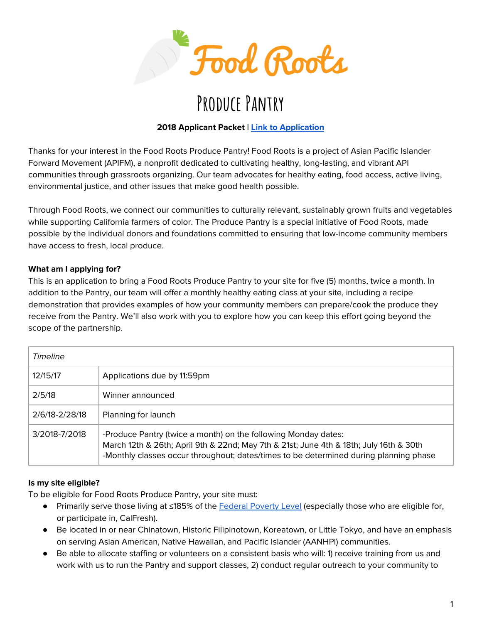

# **Produce Pantry**

## **2018 Applicant Packet | Link to [Application](https://docs.google.com/forms/d/e/1FAIpQLSdDTVd0qYHyiOcvpALyqe2KdoczkjiPULEDcRkItuGIApak4A/viewform)**

Thanks for your interest in the Food Roots Produce Pantry! Food Roots is a project of Asian Pacific Islander Forward Movement (APIFM), a nonprofit dedicated to cultivating healthy, long-lasting, and vibrant API communities through grassroots organizing. Our team advocates for healthy eating, food access, active living, environmental justice, and other issues that make good health possible.

Through Food Roots, we connect our communities to culturally relevant, sustainably grown fruits and vegetables while supporting California farmers of color. The Produce Pantry is a special initiative of Food Roots, made possible by the individual donors and foundations committed to ensuring that low-income community members have access to fresh, local produce.

### **What am I applying for?**

This is an application to bring a Food Roots Produce Pantry to your site for five (5) months, twice a month. In addition to the Pantry, our team will offer a monthly healthy eating class at your site, including a recipe demonstration that provides examples of how your community members can prepare/cook the produce they receive from the Pantry. We'll also work with you to explore how you can keep this effort going beyond the scope of the partnership.

| Timeline       |                                                                                                                                                                                                                                                   |
|----------------|---------------------------------------------------------------------------------------------------------------------------------------------------------------------------------------------------------------------------------------------------|
| 12/15/17       | Applications due by 11:59pm                                                                                                                                                                                                                       |
| 2/5/18         | Winner announced                                                                                                                                                                                                                                  |
| 2/6/18-2/28/18 | Planning for launch                                                                                                                                                                                                                               |
| 3/2018-7/2018  | -Produce Pantry (twice a month) on the following Monday dates:<br>March 12th & 26th; April 9th & 22nd; May 7th & 21st; June 4th & 18th; July 16th & 30th<br>-Monthly classes occur throughout; dates/times to be determined during planning phase |

#### **Is my site eligible?**

To be eligible for Food Roots Produce Pantry, your site must:

- Primarily serve those living at ≤185% of the [Federal](https://aspe.hhs.gov/poverty-guidelines) Poverty Level (especially those who are eligible for, or participate in, CalFresh).
- Be located in or near Chinatown, Historic Filipinotown, Koreatown, or Little Tokyo, and have an emphasis on serving Asian American, Native Hawaiian, and Pacific Islander (AANHPI) communities.
- Be able to allocate staffing or volunteers on a consistent basis who will: 1) receive training from us and work with us to run the Pantry and support classes, 2) conduct regular outreach to your community to